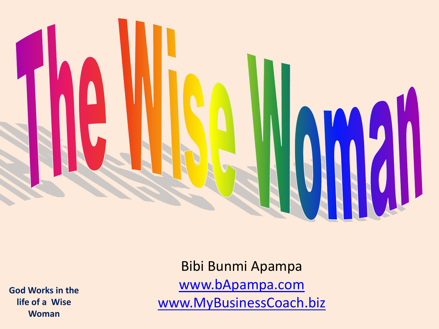

**God Works in the life of a Wise Woman**

Bibi Bunmi Apampa [www.bApampa.com](http://www.bapampa.com/) [www.MyBusinessCoach.biz](http://www.mybusinesscoach.biz/)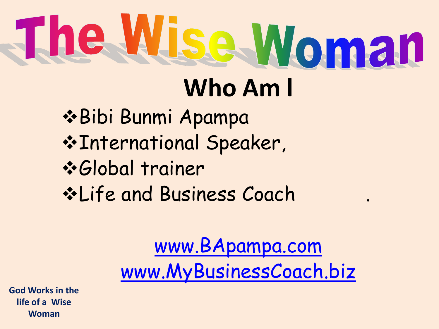# The Wise Woman **Who Am l**

#### Bibi Bunmi Apampa International Speaker, Global trainer **\*Life and Business Coach**

#### [www.BApampa.com](http://www.bapampa.com/) [www.MyBusinessCoach.biz](http://www.mybusinesscoach.biz/)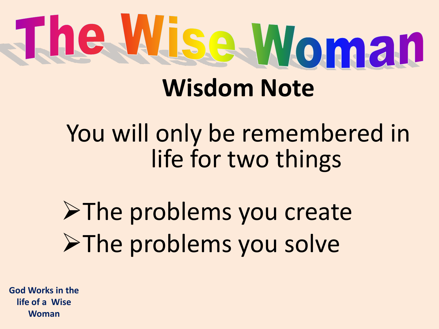# The Wise Woman **Wisdom Note**

## You will only be remembered in life for two things

## >The problems you create >The problems you solve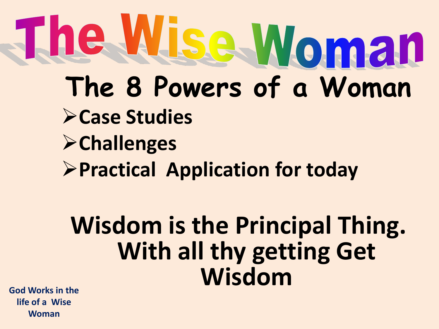# The Wise Woman **The 8 Powers of a Woman Case Studies Challenges Practical Application for today**

## **Wisdom is the Principal Thing. With all thy getting Get Wisdom**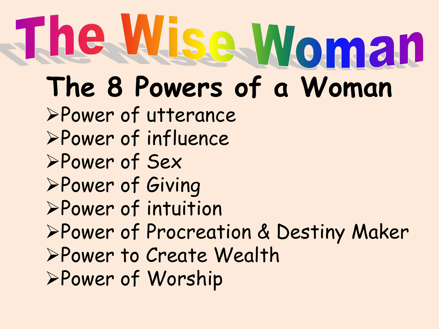# The Wise Woman

# **The 8 Powers of a Woman**

- Power of utterance
- Power of influence
- Power of Sex
- Power of Giving
- Power of intuition
- Power of Procreation & Destiny Maker
- Power to Create Wealth
- Power of Worship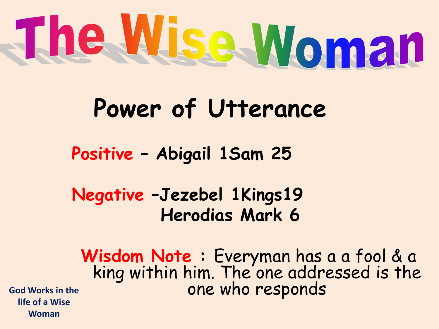

## **Power of Utterance**

**Positive – Abigail 1Sam 25**

**Negative –Jezebel 1Kings19 Herodias Mark 6**

**Wisdom Note :** Everyman has a a fool & a king within him. The one addressed is the God Works in the **CONEC SERVICE SERVICES** ONE Who responds

**life of a Wise Woman**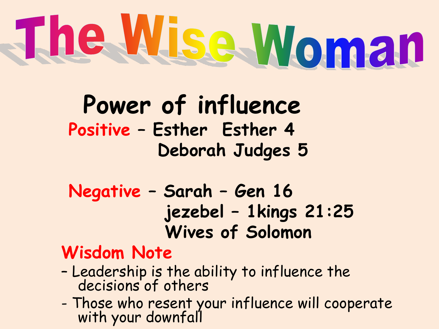# The Wise Woman

#### **Power of influence Positive – Esther Esther 4 Deborah Judges 5**

**Negative – Sarah – Gen 16 jezebel – 1kings 21:25 Wives of Solomon**

#### **Wisdom Note**

- Leadership is the ability to influence the decisions of others
- Those who resent your influence will cooperate with your downfall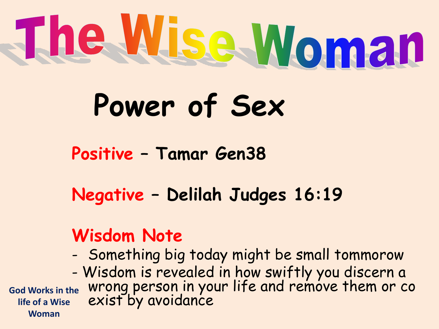

## **Power of Sex**

**Positive – Tamar Gen38**

**Negative – Delilah Judges 16:19**

#### **Wisdom Note**

- Something big today might be small tommorow
- Wisdom is revealed in how swiftly you discern a wrong person in your life and remove them or co exist by avoidance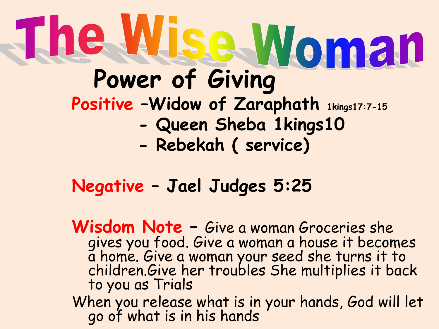# **The Wise Woman Positive –Widow of Zaraphath 1kings17:7-15 - Queen Sheba 1kings10**

 **- Rebekah ( service)**

#### **Negative – Jael Judges 5:25**

**Wisdom Note –** Give a woman Groceries she gives you food. Give a woman a house it becomes a home. Give a woman your seed she turns it to children.Give her troubles She multiplies it back to you as Trials When you release what is in your hands, God will let go of what is in his hands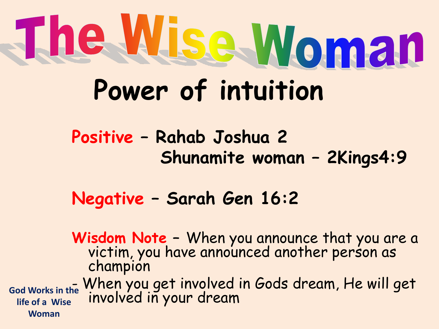# The Wise Woman **Power of intuition**

**Positive – Rahab Joshua 2 Shunamite woman – 2Kings4:9**

**Negative – Sarah Gen 16:2**

**Wisdom Note –** When you announce that you are a victim, you have announced another person as champion - When you get involved in Gods dream, He will get God Works in the **WITCH you get involved Woman**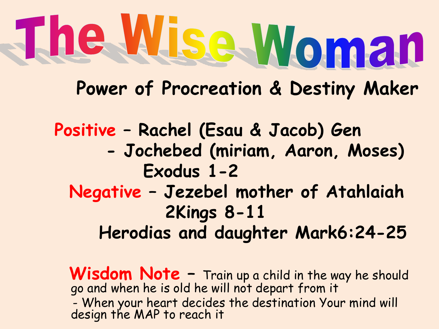# The Wise Woman

**Power of Procreation & Destiny Maker**

**Positive – Rachel (Esau & Jacob) Gen - Jochebed (miriam, Aaron, Moses) Exodus 1-2 Negative – Jezebel mother of Atahlaiah 2Kings 8-11 Herodias and daughter Mark6:24-25**

Wisdom Note - Train up a child in the way he should go and when he is old he will not depart from it - When your heart decides the destination Your mind will design the MAP to reach it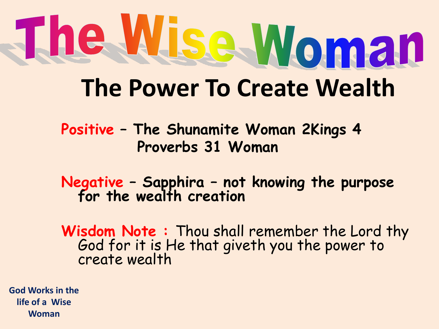# The Wise Woman **The Power To Create Wealth**

**Positive – The Shunamite Woman 2Kings 4 Proverbs 31 Woman**

**Negative – Sapphira – not knowing the purpose for the wealth creation**

**Wisdom Note :** Thou shall remember the Lord thy God for it is He that giveth you the power to create wealth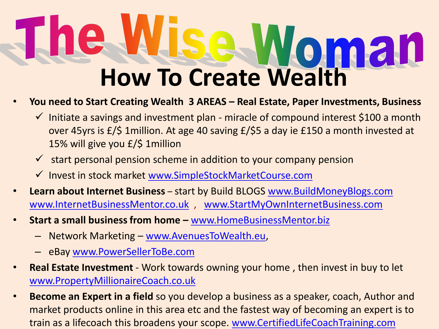# **En How To Create Wealth**

#### • **You need to Start Creating Wealth 3 AREAS – Real Estate, Paper Investments, Business**

- $\checkmark$  Initiate a savings and investment plan miracle of compound interest \$100 a month over 45yrs is £/\$ 1million. At age 40 saving £/\$5 a day ie £150 a month invested at 15% will give you £/\$ 1million
- $\checkmark$  start personal pension scheme in addition to your company pension
- $\checkmark$  Invest in stock market [www.SimpleStockMarketCourse.com](http://www.simplestockmarketcourse.com/)
- **Learn about Internet Business**  start by Build BLOGS [www.BuildMoneyBlogs.com](http://www.buildmoneyblogs.com/) [www.InternetBusinessMentor.co.uk](http://www.internetbusinessmentor.co.uk/) , [www.StartMyOwnInternetBusiness.com](http://www.startmyowninternetbusiness.com/)
- **Start a small business from home –** [www.HomeBusinessMentor.biz](http://www.homebusinessmentor.biz/)
	- Network Marketing [www.AvenuesToWealth.eu,](http://www.avenuestowealth.eu/)
	- eBay [www.PowerSellerToBe.com](http://www.powersellertobe.com/)
- **Real Estate Investment**  Work towards owning your home , then invest in buy to let [www.PropertyMillionaireCoach.co.uk](http://www.propertymillionairecoach.co.uk/)
- **Become an Expert in a field** so you develop a business as a speaker, coach, Author and market products online in this area etc and the fastest way of becoming an expert is to train as a lifecoach this broadens your scope. [www.CertifiedLifeCoachTraining.com](http://www.certifiedlifecoachtraining.com/)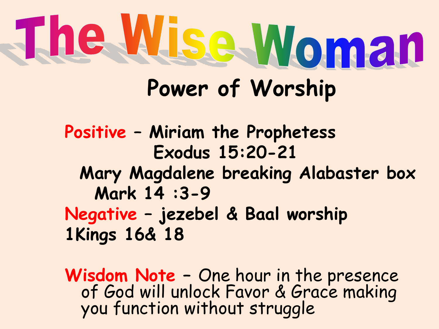# The Wise Woman **Power of Worship**

**Positive – Miriam the Prophetess Exodus 15:20-21 Mary Magdalene breaking Alabaster box Mark 14 :3-9 Negative – jezebel & Baal worship 1Kings 16& 18**

**Wisdom Note –** One hour in the presence of God will unlock Favor & Grace making you function without struggle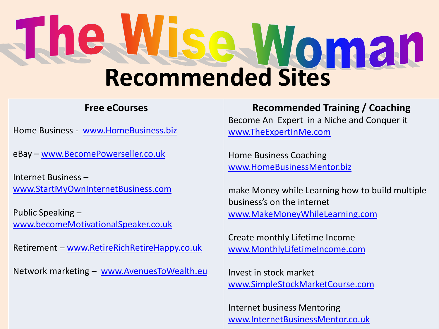# **Recommended Sites**

#### **Free eCourses**

Home Business - [www.HomeBusiness.biz](http://www.homebusiness.biz/)

eBay – [www.BecomePowerseller.co.uk](http://www.becomepowerseller.co.uk/)

Internet Business – [www.StartMyOwnInternetBusiness.com](http://www.startmyowninternetbusiness.com/)

Public Speaking – [www.becomeMotivationalSpeaker.co.uk](http://www.becomemotivationalspeaker.co.uk/)

Retirement – [www.RetireRichRetireHappy.co.uk](http://www.retirerichretirehappy.co.uk/)

Network marketing – [www.AvenuesToWealth.eu](http://www.avenuestowealth.eu/)

**Recommended Training / Coaching** Become An Expert in a Niche and Conquer it [www.TheExpertInMe.com](http://www.theexpertinme.com/)

Home Business Coaching [www.HomeBusinessMentor.biz](http://www.homebusinessmentor.biz/)

make Money while Learning how to build multiple business's on the internet [www.MakeMoneyWhileLearning.com](http://www.makemoneywhilelearning.com/)

Create monthly Lifetime Income [www.MonthlyLifetimeIncome.com](http://www.monthlylifetimeincome.com/)

Invest in stock market [www.SimpleStockMarketCourse.com](http://www.simplestockmarketcourse.com/)

Internet business Mentoring [www.InternetBusinessMentor.co.uk](http://www.internetbusinessmentor.co.uk/)